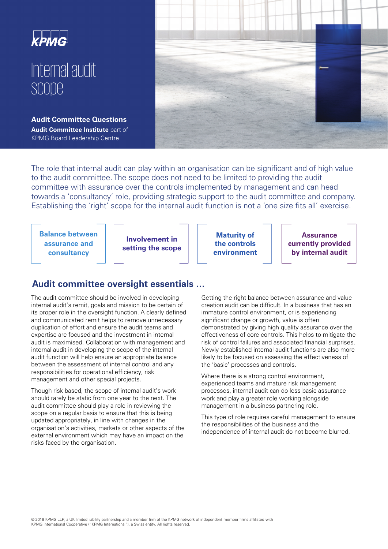

# Internal audit scope

**Audit Committee Questions Audit Committee Institute** part of KPMG Board Leadership Centre



The role that internal audit can play within an organisation can be significant and of high value to the audit committee. The scope does not need to be limited to providing the audit committee with assurance over the controls implemented by management and can head towards a 'consultancy' role, providing strategic support to the audit committee and company. Establishing the 'right' scope for the internal audit function is not a 'one size fits all' exercise.

**Balance between assurance and consultancy** 

**Involvement in setting the scope** 

**Maturity of the controls environment** 

**Assurance currently provided by internal audit** 

## **Audit committee oversight essentials …**

The audit committee should be involved in developing internal audit's remit, goals and mission to be certain of its proper role in the oversight function. A clearly defined and communicated remit helps to remove unnecessary duplication of effort and ensure the audit teams and expertise are focused and the investment in internal audit is maximised. Collaboration with management and internal audit in developing the scope of the internal audit function will help ensure an appropriate balance between the assessment of internal control and any responsibilities for operational efficiency, risk management and other special projects.

Though risk based, the scope of internal audit's work should rarely be static from one year to the next. The audit committee should play a role in reviewing the scope on a regular basis to ensure that this is being updated appropriately, in line with changes in the organisation's activities, markets or other aspects of the external environment which may have an impact on the risks faced by the organisation.

Getting the right balance between assurance and value creation audit can be difficult. In a business that has an immature control environment, or is experiencing significant change or growth, value is often demonstrated by giving high quality assurance over the effectiveness of core controls. This helps to mitigate the risk of control failures and associated financial surprises. Newly established internal audit functions are also more likely to be focused on assessing the effectiveness of the 'basic' processes and controls.

Where there is a strong control environment, experienced teams and mature risk management processes, internal audit can do less basic assurance work and play a greater role working alongside management in a business partnering role.

This type of role requires careful management to ensure the responsibilities of the business and the independence of internal audit do not become blurred.